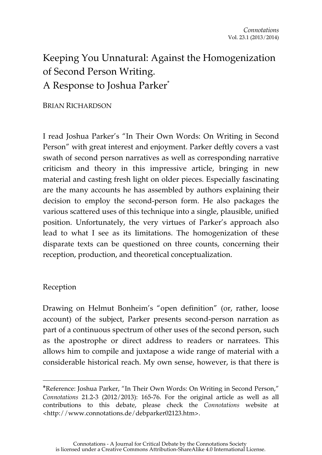# Keeping You Unnatural: Against the Homogenization of Second Person Writing. A Response to Joshua Parker\*

BRIAN RICHARDSON

I read Joshua Parker's "In Their Own Words: On Writing in Second Person" with great interest and enjoyment. Parker deftly covers a vast swath of second person narratives as well as corresponding narrative criticism and theory in this impressive article, bringing in new material and casting fresh light on older pieces. Especially fascinating are the many accounts he has assembled by authors explaining their decision to employ the second-person form. He also packages the various scattered uses of this technique into a single, plausible, unified position. Unfortunately, the very virtues of Parker's approach also lead to what I see as its limitations. The homogenization of these disparate texts can be questioned on three counts, concerning their reception, production, and theoretical conceptualization.

### Reception

 $\overline{a}$ 

Drawing on Helmut Bonheim's "open definition" (or, rather, loose account) of the subject, Parker presents second-person narration as part of a continuous spectrum of other uses of the second person, such as the apostrophe or direct address to readers or narratees. This allows him to compile and juxtapose a wide range of material with a considerable historical reach. My own sense, however, is that there is

<sup>\*</sup>Reference: Joshua Parker, "In Their Own Words: On Writing in Second Person," *Connotations* 21.2-3 (2012/2013): 165-76. For the original article as well as all contributions to this debate, please check the *Connotations* website at <http://www.connotations.de/debparker02123.htm>.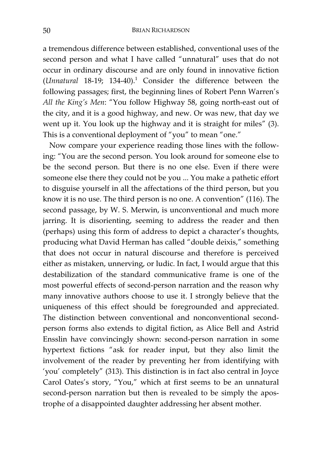a tremendous difference between established, conventional uses of the second person and what I have called "unnatural" uses that do not occur in ordinary discourse and are only found in innovative fiction (*Unnatural* 18-19; 134-40).1 Consider the difference between the following passages; first, the beginning lines of Robert Penn Warren's *All the King's Men*: "You follow Highway 58, going north-east out of the city, and it is a good highway, and new. Or was new, that day we went up it. You look up the highway and it is straight for miles" (3). This is a conventional deployment of "you" to mean "one."

Now compare your experience reading those lines with the following: "You are the second person. You look around for someone else to be the second person. But there is no one else. Even if there were someone else there they could not be you ... You make a pathetic effort to disguise yourself in all the affectations of the third person, but you know it is no use. The third person is no one. A convention" (116). The second passage, by W. S. Merwin, is unconventional and much more jarring. It is disorienting, seeming to address the reader and then (perhaps) using this form of address to depict a character's thoughts, producing what David Herman has called "double deixis," something that does not occur in natural discourse and therefore is perceived either as mistaken, unnerving, or ludic. In fact, I would argue that this destabilization of the standard communicative frame is one of the most powerful effects of second-person narration and the reason why many innovative authors choose to use it. I strongly believe that the uniqueness of this effect should be foregrounded and appreciated. The distinction between conventional and nonconventional secondperson forms also extends to digital fiction, as Alice Bell and Astrid Ensslin have convincingly shown: second-person narration in some hypertext fictions "ask for reader input, but they also limit the involvement of the reader by preventing her from identifying with 'you' completely" (313). This distinction is in fact also central in Joyce Carol Oates's story, "You," which at first seems to be an unnatural second-person narration but then is revealed to be simply the apostrophe of a disappointed daughter addressing her absent mother.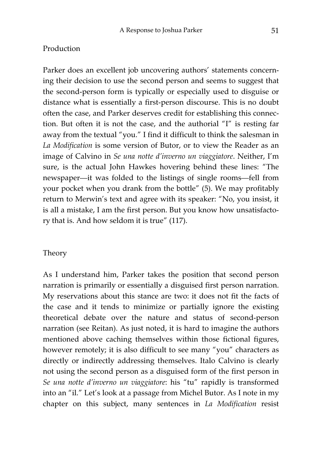## Production

Parker does an excellent job uncovering authors' statements concerning their decision to use the second person and seems to suggest that the second-person form is typically or especially used to disguise or distance what is essentially a first-person discourse. This is no doubt often the case, and Parker deserves credit for establishing this connection. But often it is not the case, and the authorial "I" is resting far away from the textual "you." I find it difficult to think the salesman in *La Modification* is some version of Butor, or to view the Reader as an image of Calvino in *Se una notte d'inverno un viaggiatore*. Neither, I'm sure, is the actual John Hawkes hovering behind these lines: "The newspaper—it was folded to the listings of single rooms—fell from your pocket when you drank from the bottle" (5). We may profitably return to Merwin's text and agree with its speaker: "No, you insist, it is all a mistake, I am the first person. But you know how unsatisfactory that is. And how seldom it is true" (117).

### Theory

As I understand him, Parker takes the position that second person narration is primarily or essentially a disguised first person narration. My reservations about this stance are two: it does not fit the facts of the case and it tends to minimize or partially ignore the existing theoretical debate over the nature and status of second-person narration (see Reitan). As just noted, it is hard to imagine the authors mentioned above caching themselves within those fictional figures, however remotely; it is also difficult to see many "you" characters as directly or indirectly addressing themselves. Italo Calvino is clearly not using the second person as a disguised form of the first person in *Se una notte d'inverno un viaggiatore*: his "tu" rapidly is transformed into an "il." Let's look at a passage from Michel Butor. As I note in my chapter on this subject, many sentences in *La Modification* resist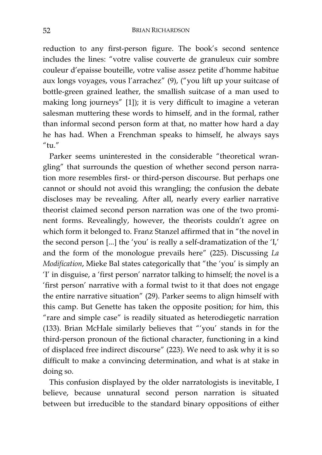reduction to any first-person figure. The book's second sentence includes the lines: "votre valise couverte de granuleux cuir sombre couleur d'epaisse bouteille, votre valise assez petite d'homme habitue aux longs voyages, vous l'arrachez" (9), ("you lift up your suitcase of bottle-green grained leather, the smallish suitcase of a man used to making long journeys" [1]); it is very difficult to imagine a veteran salesman muttering these words to himself, and in the formal, rather than informal second person form at that, no matter how hard a day he has had. When a Frenchman speaks to himself, he always says  $''$ tu."

Parker seems uninterested in the considerable "theoretical wrangling" that surrounds the question of whether second person narration more resembles first- or third-person discourse. But perhaps one cannot or should not avoid this wrangling; the confusion the debate discloses may be revealing. After all, nearly every earlier narrative theorist claimed second person narration was one of the two prominent forms. Revealingly, however, the theorists couldn't agree on which form it belonged to. Franz Stanzel affirmed that in "the novel in the second person [...] the 'you' is really a self-dramatization of the 'I,' and the form of the monologue prevails here" (225). Discussing *La Modification*, Mieke Bal states categorically that "the 'you' is simply an 'I' in disguise, a 'first person' narrator talking to himself; the novel is a 'first person' narrative with a formal twist to it that does not engage the entire narrative situation" (29). Parker seems to align himself with this camp. But Genette has taken the opposite position; for him, this "rare and simple case" is readily situated as heterodiegetic narration (133). Brian McHale similarly believes that "'you' stands in for the third-person pronoun of the fictional character, functioning in a kind of displaced free indirect discourse" (223). We need to ask why it is so difficult to make a convincing determination, and what is at stake in doing so.

This confusion displayed by the older narratologists is inevitable, I believe, because unnatural second person narration is situated between but irreducible to the standard binary oppositions of either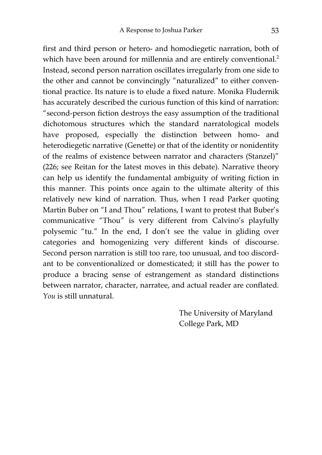first and third person or hetero- and homodiegetic narration, both of which have been around for millennia and are entirely conventional.<sup>2</sup> Instead, second person narration oscillates irregularly from one side to the other and cannot be convincingly "naturalized" to either conventional practice. Its nature is to elude a fixed nature. Monika Fludernik has accurately described the curious function of this kind of narration: "second-person fiction destroys the easy assumption of the traditional dichotomous structures which the standard narratological models have proposed, especially the distinction between homo- and heterodiegetic narrative (Genette) or that of the identity or nonidentity of the realms of existence between narrator and characters (Stanzel)" (226; see Reitan for the latest moves in this debate). Narrative theory can help us identify the fundamental ambiguity of writing fiction in this manner. This points once again to the ultimate alterity of this relatively new kind of narration. Thus, when I read Parker quoting Martin Buber on "I and Thou" relations, I want to protest that Buber's communicative "Thou" is very different from Calvino's playfully polysemic "tu." In the end, I don't see the value in gliding over categories and homogenizing very different kinds of discourse. Second person narration is still too rare, too unusual, and too discordant to be conventionalized or domesticated; it still has the power to produce a bracing sense of estrangement as standard distinctions between narrator, character, narratee, and actual reader are conflated. *You* is still unnatural.

> The University of Maryland College Park, MD